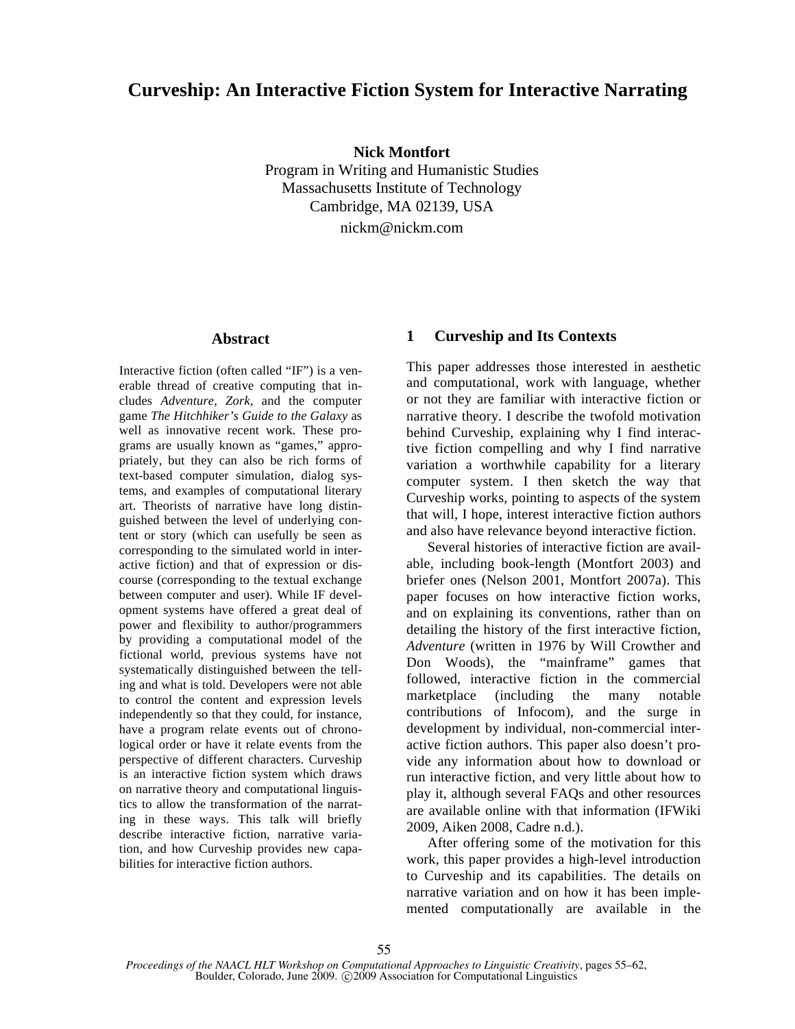# **Curveship: An Interactive Fiction System for Interactive Narrating**

**Nick Montfort** 

Program in Writing and Humanistic Studies Massachusetts Institute of Technology Cambridge, MA 02139, USA nickm@nickm.com

### **Abstract**

Interactive fiction (often called "IF") is a venerable thread of creative computing that includes *Adventure, Zork,* and the computer game *The Hitchhiker's Guide to the Galaxy* as well as innovative recent work. These programs are usually known as "games," appropriately, but they can also be rich forms of text-based computer simulation, dialog systems, and examples of computational literary art. Theorists of narrative have long distinguished between the level of underlying content or story (which can usefully be seen as corresponding to the simulated world in interactive fiction) and that of expression or discourse (corresponding to the textual exchange between computer and user). While IF development systems have offered a great deal of power and flexibility to author/programmers by providing a computational model of the fictional world, previous systems have not systematically distinguished between the telling and what is told. Developers were not able to control the content and expression levels independently so that they could, for instance, have a program relate events out of chronological order or have it relate events from the perspective of different characters. Curveship is an interactive fiction system which draws on narrative theory and computational linguistics to allow the transformation of the narrating in these ways. This talk will briefly describe interactive fiction, narrative variation, and how Curveship provides new capabilities for interactive fiction authors.

## **1 Curveship and Its Contexts**

This paper addresses those interested in aesthetic and computational, work with language, whether or not they are familiar with interactive fiction or narrative theory. I describe the twofold motivation behind Curveship, explaining why I find interactive fiction compelling and why I find narrative variation a worthwhile capability for a literary computer system. I then sketch the way that Curveship works, pointing to aspects of the system that will, I hope, interest interactive fiction authors and also have relevance beyond interactive fiction.

Several histories of interactive fiction are available, including book-length (Montfort 2003) and briefer ones (Nelson 2001, Montfort 2007a). This paper focuses on how interactive fiction works, and on explaining its conventions, rather than on detailing the history of the first interactive fiction, *Adventure* (written in 1976 by Will Crowther and Don Woods), the "mainframe" games that followed, interactive fiction in the commercial marketplace (including the many notable contributions of Infocom), and the surge in development by individual, non-commercial interactive fiction authors. This paper also doesn't provide any information about how to download or run interactive fiction, and very little about how to play it, although several FAQs and other resources are available online with that information (IFWiki 2009, Aiken 2008, Cadre n.d.).

After offering some of the motivation for this work, this paper provides a high-level introduction to Curveship and its capabilities. The details on narrative variation and on how it has been implemented computationally are available in the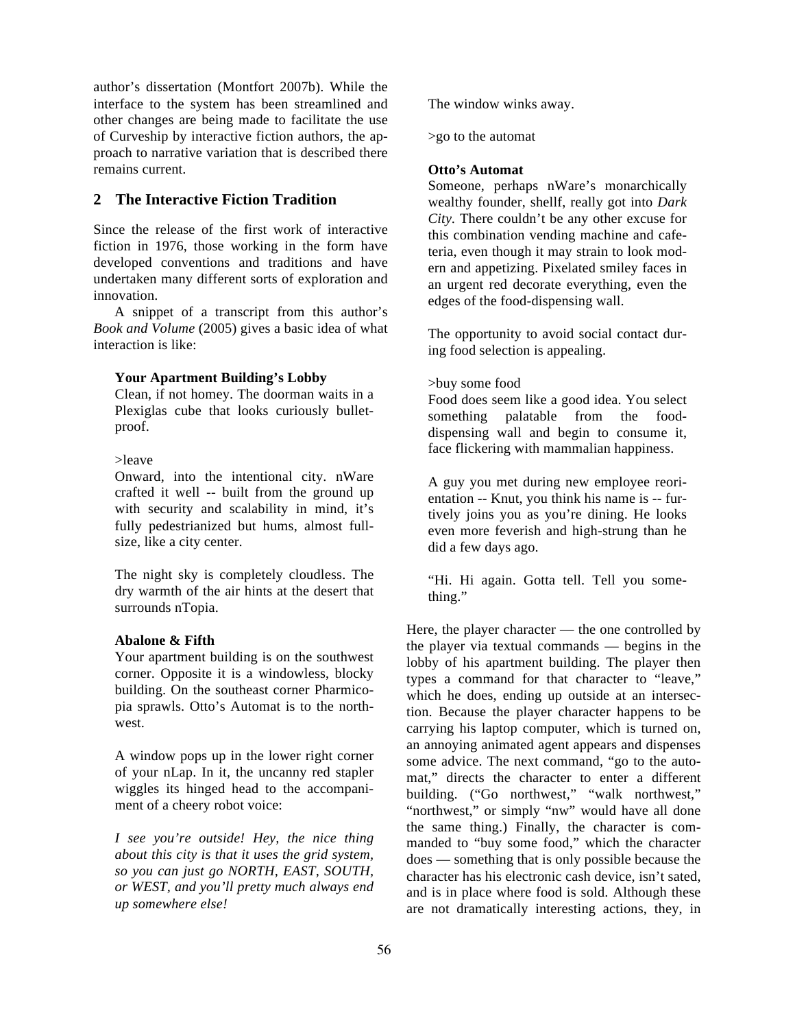author's dissertation (Montfort 2007b). While the interface to the system has been streamlined and other changes are being made to facilitate the use of Curveship by interactive fiction authors, the approach to narrative variation that is described there remains current.

## **2 The Interactive Fiction Tradition**

Since the release of the first work of interactive fiction in 1976, those working in the form have developed conventions and traditions and have undertaken many different sorts of exploration and innovation.

A snippet of a transcript from this author's *Book and Volume* (2005) gives a basic idea of what interaction is like:

#### **Your Apartment Building's Lobby**

Clean, if not homey. The doorman waits in a Plexiglas cube that looks curiously bulletproof.

#### >leave

Onward, into the intentional city. nWare crafted it well -- built from the ground up with security and scalability in mind, it's fully pedestrianized but hums, almost fullsize, like a city center.

The night sky is completely cloudless. The dry warmth of the air hints at the desert that surrounds nTopia.

#### **Abalone & Fifth**

Your apartment building is on the southwest corner. Opposite it is a windowless, blocky building. On the southeast corner Pharmicopia sprawls. Otto's Automat is to the northwest.

A window pops up in the lower right corner of your nLap. In it, the uncanny red stapler wiggles its hinged head to the accompaniment of a cheery robot voice:

*I see you're outside! Hey, the nice thing about this city is that it uses the grid system, so you can just go NORTH, EAST, SOUTH, or WEST, and you'll pretty much always end up somewhere else!* 

The window winks away.

>go to the automat

#### **Otto's Automat**

Someone, perhaps nWare's monarchically wealthy founder, shellf, really got into *Dark City.* There couldn't be any other excuse for this combination vending machine and cafeteria, even though it may strain to look modern and appetizing. Pixelated smiley faces in an urgent red decorate everything, even the edges of the food-dispensing wall.

The opportunity to avoid social contact during food selection is appealing.

#### >buy some food

Food does seem like a good idea. You select something palatable from the fooddispensing wall and begin to consume it, face flickering with mammalian happiness.

A guy you met during new employee reorientation -- Knut, you think his name is -- furtively joins you as you're dining. He looks even more feverish and high-strung than he did a few days ago.

"Hi. Hi again. Gotta tell. Tell you something."

Here, the player character — the one controlled by the player via textual commands — begins in the lobby of his apartment building. The player then types a command for that character to "leave," which he does, ending up outside at an intersection. Because the player character happens to be carrying his laptop computer, which is turned on, an annoying animated agent appears and dispenses some advice. The next command, "go to the automat," directs the character to enter a different building. ("Go northwest," "walk northwest," "northwest," or simply "nw" would have all done the same thing.) Finally, the character is commanded to "buy some food," which the character does — something that is only possible because the character has his electronic cash device, isn't sated, and is in place where food is sold. Although these are not dramatically interesting actions, they, in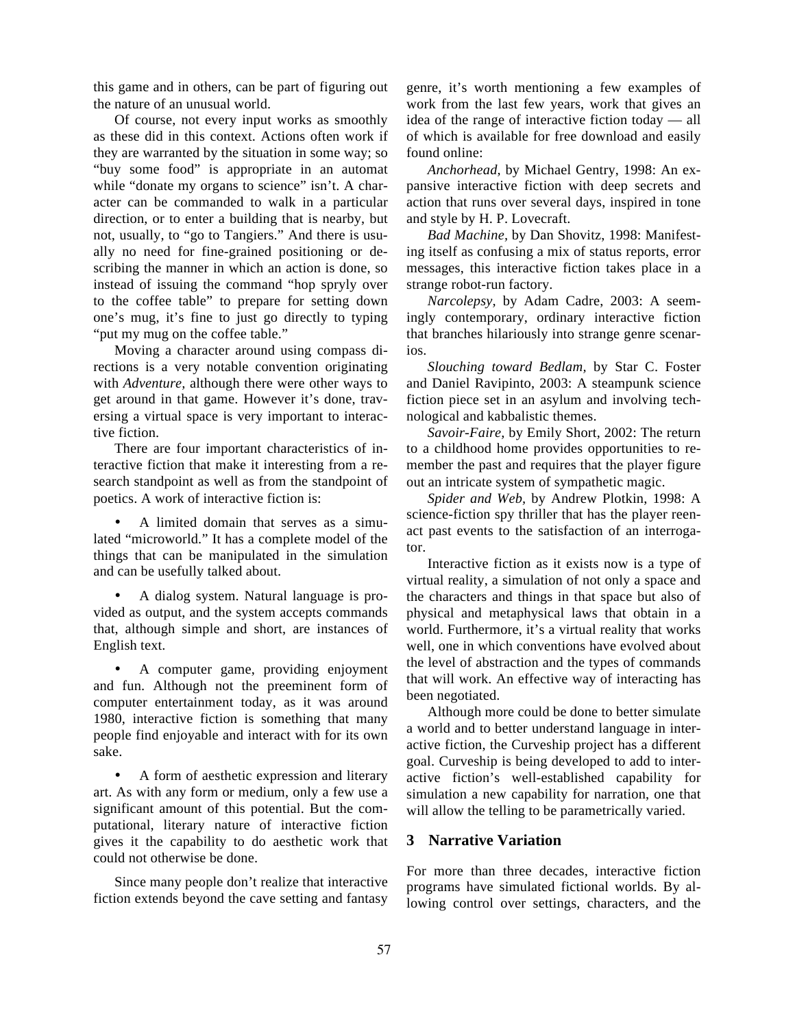this game and in others, can be part of figuring out the nature of an unusual world.

Of course, not every input works as smoothly as these did in this context. Actions often work if they are warranted by the situation in some way; so "buy some food" is appropriate in an automat while "donate my organs to science" isn't. A character can be commanded to walk in a particular direction, or to enter a building that is nearby, but not, usually, to "go to Tangiers." And there is usually no need for fine-grained positioning or describing the manner in which an action is done, so instead of issuing the command "hop spryly over to the coffee table" to prepare for setting down one's mug, it's fine to just go directly to typing "put my mug on the coffee table."

Moving a character around using compass directions is a very notable convention originating with *Adventure,* although there were other ways to get around in that game. However it's done, traversing a virtual space is very important to interactive fiction.

There are four important characteristics of interactive fiction that make it interesting from a research standpoint as well as from the standpoint of poetics. A work of interactive fiction is:

• A limited domain that serves as a simulated "microworld." It has a complete model of the things that can be manipulated in the simulation and can be usefully talked about.

• A dialog system. Natural language is provided as output, and the system accepts commands that, although simple and short, are instances of English text.

• A computer game, providing enjoyment and fun. Although not the preeminent form of computer entertainment today, as it was around 1980, interactive fiction is something that many people find enjoyable and interact with for its own sake.

• A form of aesthetic expression and literary art. As with any form or medium, only a few use a significant amount of this potential. But the computational, literary nature of interactive fiction gives it the capability to do aesthetic work that could not otherwise be done.

Since many people don't realize that interactive fiction extends beyond the cave setting and fantasy

genre, it's worth mentioning a few examples of work from the last few years, work that gives an idea of the range of interactive fiction today — all of which is available for free download and easily found online:

*Anchorhead,* by Michael Gentry, 1998: An expansive interactive fiction with deep secrets and action that runs over several days, inspired in tone and style by H. P. Lovecraft.

*Bad Machine,* by Dan Shovitz, 1998: Manifesting itself as confusing a mix of status reports, error messages, this interactive fiction takes place in a strange robot-run factory.

*Narcolepsy,* by Adam Cadre, 2003: A seemingly contemporary, ordinary interactive fiction that branches hilariously into strange genre scenarios.

*Slouching toward Bedlam,* by Star C. Foster and Daniel Ravipinto, 2003: A steampunk science fiction piece set in an asylum and involving technological and kabbalistic themes.

*Savoir-Faire,* by Emily Short, 2002: The return to a childhood home provides opportunities to remember the past and requires that the player figure out an intricate system of sympathetic magic.

*Spider and Web,* by Andrew Plotkin, 1998: A science-fiction spy thriller that has the player reenact past events to the satisfaction of an interrogator.

Interactive fiction as it exists now is a type of virtual reality, a simulation of not only a space and the characters and things in that space but also of physical and metaphysical laws that obtain in a world. Furthermore, it's a virtual reality that works well, one in which conventions have evolved about the level of abstraction and the types of commands that will work. An effective way of interacting has been negotiated.

Although more could be done to better simulate a world and to better understand language in interactive fiction, the Curveship project has a different goal. Curveship is being developed to add to interactive fiction's well-established capability for simulation a new capability for narration, one that will allow the telling to be parametrically varied.

## **3 Narrative Variation**

For more than three decades, interactive fiction programs have simulated fictional worlds. By allowing control over settings, characters, and the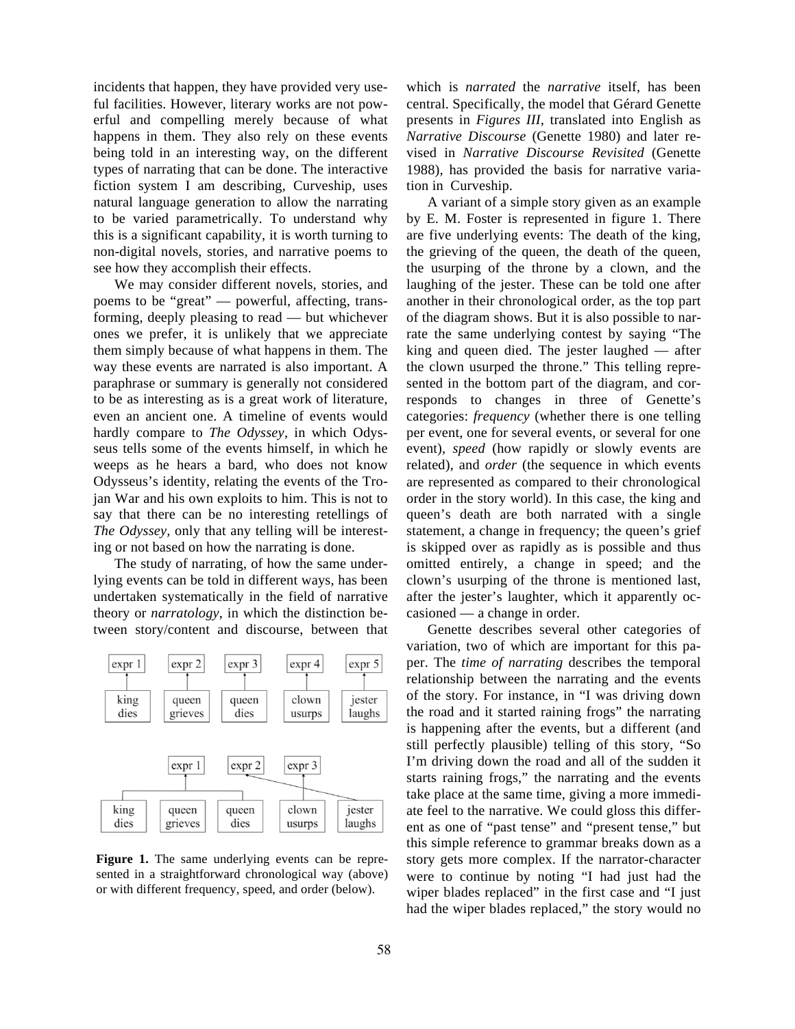incidents that happen, they have provided very useful facilities. However, literary works are not powerful and compelling merely because of what happens in them. They also rely on these events being told in an interesting way, on the different types of narrating that can be done. The interactive fiction system I am describing, Curveship, uses natural language generation to allow the narrating to be varied parametrically. To understand why this is a significant capability, it is worth turning to non-digital novels, stories, and narrative poems to see how they accomplish their effects.

We may consider different novels, stories, and poems to be "great" — powerful, affecting, transforming, deeply pleasing to read — but whichever ones we prefer, it is unlikely that we appreciate them simply because of what happens in them. The way these events are narrated is also important. A paraphrase or summary is generally not considered to be as interesting as is a great work of literature, even an ancient one. A timeline of events would hardly compare to *The Odyssey*, in which Odysseus tells some of the events himself, in which he weeps as he hears a bard, who does not know Odysseus's identity, relating the events of the Trojan War and his own exploits to him. This is not to say that there can be no interesting retellings of *The Odyssey,* only that any telling will be interesting or not based on how the narrating is done.

The study of narrating, of how the same underlying events can be told in different ways, has been undertaken systematically in the field of narrative theory or *narratology*, in which the distinction between story/content and discourse, between that



**Figure 1.** The same underlying events can be represented in a straightforward chronological way (above) or with different frequency, speed, and order (below).

which is *narrated* the *narrative* itself, has been central. Specifically, the model that Gérard Genette presents in *Figures III,* translated into English as *Narrative Discourse* (Genette 1980) and later revised in *Narrative Discourse Revisited* (Genette 1988), has provided the basis for narrative variation in Curveship.

A variant of a simple story given as an example by E. M. Foster is represented in figure 1. There are five underlying events: The death of the king, the grieving of the queen, the death of the queen, the usurping of the throne by a clown, and the laughing of the jester. These can be told one after another in their chronological order, as the top part of the diagram shows. But it is also possible to narrate the same underlying contest by saying "The king and queen died. The jester laughed — after the clown usurped the throne." This telling represented in the bottom part of the diagram, and corresponds to changes in three of Genette's categories: *frequency* (whether there is one telling per event, one for several events, or several for one event), *speed* (how rapidly or slowly events are related), and *order* (the sequence in which events are represented as compared to their chronological order in the story world). In this case, the king and queen's death are both narrated with a single statement, a change in frequency; the queen's grief is skipped over as rapidly as is possible and thus omitted entirely, a change in speed; and the clown's usurping of the throne is mentioned last, after the jester's laughter, which it apparently occasioned — a change in order.

Genette describes several other categories of variation, two of which are important for this paper. The *time of narrating* describes the temporal relationship between the narrating and the events of the story. For instance, in "I was driving down the road and it started raining frogs" the narrating is happening after the events, but a different (and still perfectly plausible) telling of this story, "So I'm driving down the road and all of the sudden it starts raining frogs," the narrating and the events take place at the same time, giving a more immediate feel to the narrative. We could gloss this different as one of "past tense" and "present tense," but this simple reference to grammar breaks down as a story gets more complex. If the narrator-character were to continue by noting "I had just had the wiper blades replaced" in the first case and "I just had the wiper blades replaced," the story would no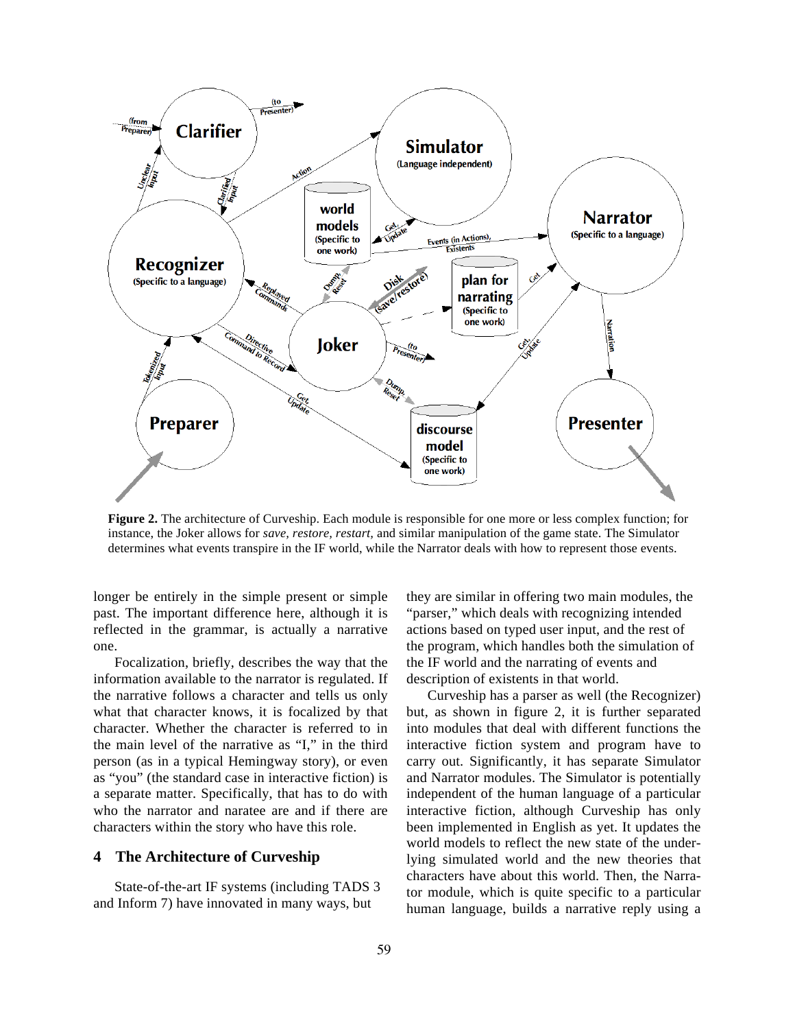

**Figure 2.** The architecture of Curveship. Each module is responsible for one more or less complex function; for instance, the Joker allows for *save, restore, restart,* and similar manipulation of the game state. The Simulator determines what events transpire in the IF world, while the Narrator deals with how to represent those events.

longer be entirely in the simple present or simple past. The important difference here, although it is reflected in the grammar, is actually a narrative one.

Focalization, briefly, describes the way that the information available to the narrator is regulated. If the narrative follows a character and tells us only what that character knows, it is focalized by that character. Whether the character is referred to in the main level of the narrative as "I," in the third person (as in a typical Hemingway story), or even as "you" (the standard case in interactive fiction) is a separate matter. Specifically, that has to do with who the narrator and naratee are and if there are characters within the story who have this role.

## **4 The Architecture of Curveship**

State-of-the-art IF systems (including TADS 3 and Inform 7) have innovated in many ways, but

they are similar in offering two main modules, the "parser," which deals with recognizing intended actions based on typed user input, and the rest of the program, which handles both the simulation of the IF world and the narrating of events and description of existents in that world.

Curveship has a parser as well (the Recognizer) but, as shown in figure 2, it is further separated into modules that deal with different functions the interactive fiction system and program have to carry out. Significantly, it has separate Simulator and Narrator modules. The Simulator is potentially independent of the human language of a particular interactive fiction, although Curveship has only been implemented in English as yet. It updates the world models to reflect the new state of the underlying simulated world and the new theories that characters have about this world. Then, the Narrator module, which is quite specific to a particular human language, builds a narrative reply using a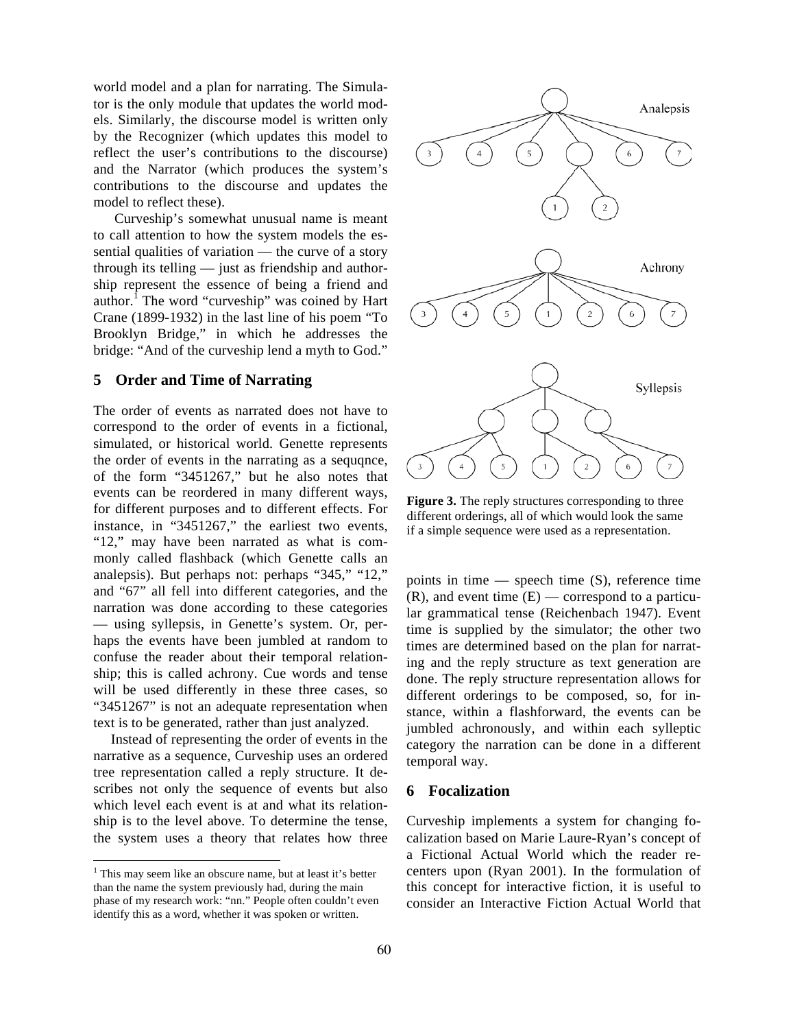world model and a plan for narrating. The Simulator is the only module that updates the world models. Similarly, the discourse model is written only by the Recognizer (which updates this model to reflect the user's contributions to the discourse) and the Narrator (which produces the system's contributions to the discourse and updates the model to reflect these).

Curveship's somewhat unusual name is meant to call attention to how the system models the essential qualities of variation — the curve of a story through its telling — just as friendship and authorship represent the essence of being a friend and author.<sup>I</sup> The word "curveship" was coined by Hart Crane (1899-1932) in the last line of his poem "To Brooklyn Bridge," in which he addresses the bridge: "And of the curveship lend a myth to God."

#### **5 Order and Time of Narrating**

The order of events as narrated does not have to correspond to the order of events in a fictional, simulated, or historical world. Genette represents the order of events in the narrating as a sequqnce, of the form "3451267," but he also notes that events can be reordered in many different ways, for different purposes and to different effects. For instance, in "3451267," the earliest two events, "12," may have been narrated as what is commonly called flashback (which Genette calls an analepsis). But perhaps not: perhaps "345," "12," and "67" all fell into different categories, and the narration was done according to these categories — using syllepsis, in Genette's system. Or, perhaps the events have been jumbled at random to confuse the reader about their temporal relationship; this is called achrony. Cue words and tense will be used differently in these three cases, so "3451267" is not an adequate representation when text is to be generated, rather than just analyzed.

Instead of representing the order of events in the narrative as a sequence, Curveship uses an ordered tree representation called a reply structure. It describes not only the sequence of events but also which level each event is at and what its relationship is to the level above. To determine the tense, the system uses a theory that relates how three

 $\overline{a}$ 



**Figure 3.** The reply structures corresponding to three different orderings, all of which would look the same if a simple sequence were used as a representation.

points in time  $-$  speech time  $(S)$ , reference time  $(R)$ , and event time  $(E)$  — correspond to a particular grammatical tense (Reichenbach 1947). Event time is supplied by the simulator; the other two times are determined based on the plan for narrating and the reply structure as text generation are done. The reply structure representation allows for different orderings to be composed, so, for instance, within a flashforward, the events can be jumbled achronously, and within each sylleptic category the narration can be done in a different temporal way.

#### **6 Focalization**

Curveship implements a system for changing focalization based on Marie Laure-Ryan's concept of a Fictional Actual World which the reader recenters upon (Ryan 2001). In the formulation of this concept for interactive fiction, it is useful to consider an Interactive Fiction Actual World that

 $<sup>1</sup>$  This may seem like an obscure name, but at least it's better</sup> than the name the system previously had, during the main phase of my research work: "nn." People often couldn't even identify this as a word, whether it was spoken or written.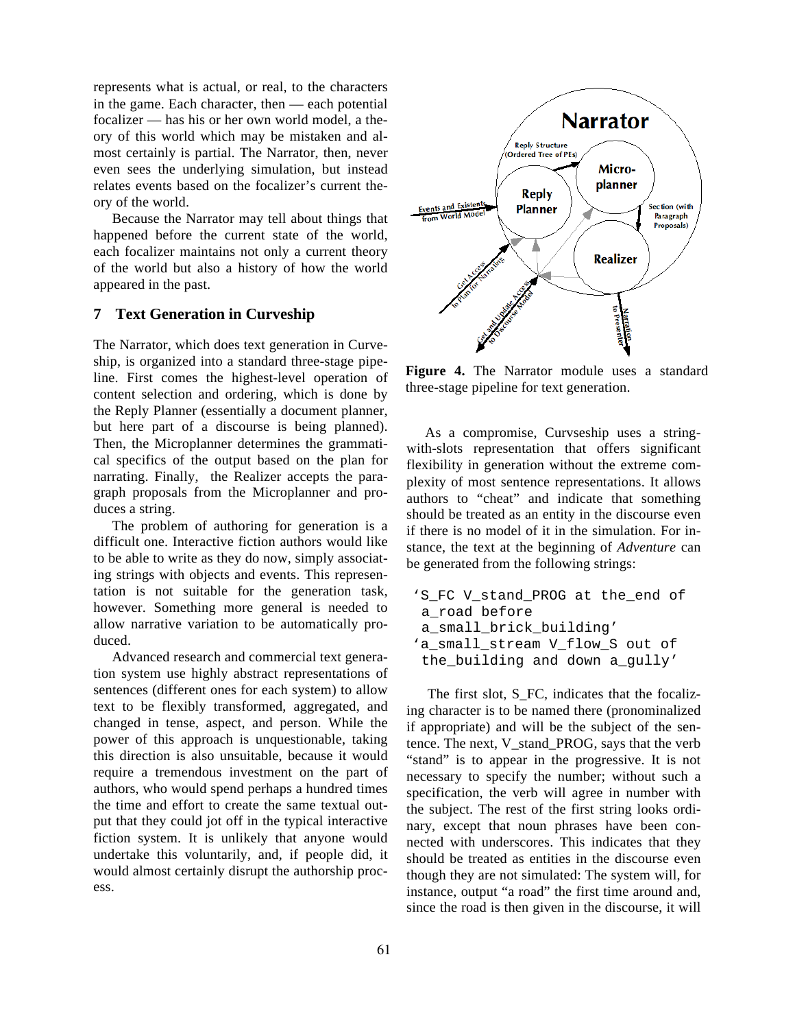represents what is actual, or real, to the characters in the game. Each character, then — each potential focalizer — has his or her own world model, a theory of this world which may be mistaken and almost certainly is partial. The Narrator, then, never even sees the underlying simulation, but instead relates events based on the focalizer's current theory of the world.

Because the Narrator may tell about things that happened before the current state of the world, each focalizer maintains not only a current theory of the world but also a history of how the world appeared in the past.

## **7 Text Generation in Curveship**

The Narrator, which does text generation in Curveship, is organized into a standard three-stage pipeline. First comes the highest-level operation of content selection and ordering, which is done by the Reply Planner (essentially a document planner, but here part of a discourse is being planned). Then, the Microplanner determines the grammatical specifics of the output based on the plan for narrating. Finally, the Realizer accepts the paragraph proposals from the Microplanner and produces a string.

The problem of authoring for generation is a difficult one. Interactive fiction authors would like to be able to write as they do now, simply associating strings with objects and events. This representation is not suitable for the generation task, however. Something more general is needed to allow narrative variation to be automatically produced.

Advanced research and commercial text generation system use highly abstract representations of sentences (different ones for each system) to allow text to be flexibly transformed, aggregated, and changed in tense, aspect, and person. While the power of this approach is unquestionable, taking this direction is also unsuitable, because it would require a tremendous investment on the part of authors, who would spend perhaps a hundred times the time and effort to create the same textual output that they could jot off in the typical interactive fiction system. It is unlikely that anyone would undertake this voluntarily, and, if people did, it would almost certainly disrupt the authorship process.



**Figure 4.** The Narrator module uses a standard three-stage pipeline for text generation.

As a compromise, Curvseship uses a stringwith-slots representation that offers significant flexibility in generation without the extreme complexity of most sentence representations. It allows authors to "cheat" and indicate that something should be treated as an entity in the discourse even if there is no model of it in the simulation. For instance, the text at the beginning of *Adventure* can be generated from the following strings:

```
'S_FC V_stand_PROG at the_end of 
a_road before 
a_small_brick_building' 
'a_small_stream V_flow_S out of 
the_building and down a_gully'
```
The first slot, S\_FC, indicates that the focalizing character is to be named there (pronominalized if appropriate) and will be the subject of the sentence. The next, V\_stand\_PROG, says that the verb "stand" is to appear in the progressive. It is not necessary to specify the number; without such a specification, the verb will agree in number with the subject. The rest of the first string looks ordinary, except that noun phrases have been connected with underscores. This indicates that they should be treated as entities in the discourse even though they are not simulated: The system will, for instance, output "a road" the first time around and, since the road is then given in the discourse, it will